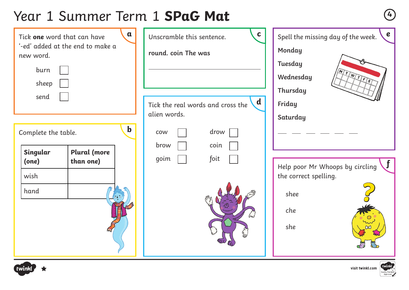# Year 1 Summer Term 1 **SPaG Mat <sup>4</sup>**

| $\mathbf{a}$<br>Tick one word that can have<br>'-ed' added at the end to make a<br>new word.<br>burn<br>sheep |                     | $\mathbf{C}$<br>Unscramble this sentence.<br>round. coin The was | $\boldsymbol{e}$<br>Spell the missing day of the week.<br>Monday<br>Tuesday<br>MTWTFS<br>Wednesday<br>Thursday |                                 |
|---------------------------------------------------------------------------------------------------------------|---------------------|------------------------------------------------------------------|----------------------------------------------------------------------------------------------------------------|---------------------------------|
| send                                                                                                          |                     |                                                                  | $\mathbf d$<br>Tick the real words and cross the                                                               | Friday                          |
|                                                                                                               |                     |                                                                  | alien words.                                                                                                   | Saturday                        |
| $\mathbf b$<br>Complete the table.                                                                            |                     |                                                                  | drow<br>COW                                                                                                    |                                 |
| Singular                                                                                                      | <b>Plural</b> (more |                                                                  | brow<br>coin                                                                                                   |                                 |
| (one)                                                                                                         | than one)           |                                                                  | goim<br>foit                                                                                                   | Help poor Mr Whoops by circling |
| wish                                                                                                          |                     |                                                                  |                                                                                                                | the correct spelling.           |
| hand                                                                                                          |                     |                                                                  |                                                                                                                | shee                            |
|                                                                                                               |                     |                                                                  |                                                                                                                | che<br>she                      |



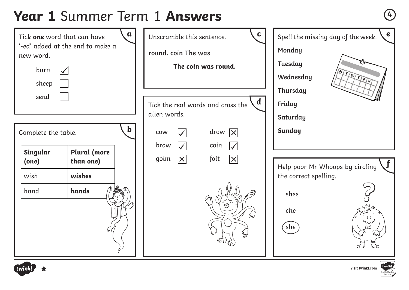# **Year 1** Summer Term 1 **Answers <sup>4</sup>**

| $\mathbf a$<br>Tick one word that can have<br>'-ed' added at the end to make a<br>new word.<br>burn<br>sheep |                                  | $\mathbf{C}$<br>Unscramble this sentence.<br>round. coin The was<br>The coin was round.                      | $\mathbf e$<br>Spell the missing day of the week.<br>Monday<br><b>Tuesday</b><br>MTWTFS<br>Wednesday<br>Thursday |
|--------------------------------------------------------------------------------------------------------------|----------------------------------|--------------------------------------------------------------------------------------------------------------|------------------------------------------------------------------------------------------------------------------|
| send<br>$\mathbf b$<br>Complete the table.                                                                   |                                  | $\mathbf d$<br>Tick the real words and cross the<br>alien words.<br>drow $ x $<br><b>COW</b>                 | Friday<br>Saturday<br><b>Sunday</b>                                                                              |
| Singular<br>(one)                                                                                            | <b>Plural</b> (more<br>than one) | brow<br>$\blacktriangledown$<br>coin<br>$\blacktriangledown$<br>$ \mathsf{X} $<br>$ \times $<br>goim<br>foit | Help poor Mr Whoops by circling                                                                                  |
| wish<br>hand                                                                                                 | wishes<br>hands                  | كسكا                                                                                                         | the correct spelling.<br>shee<br>che<br>∩<br>she                                                                 |



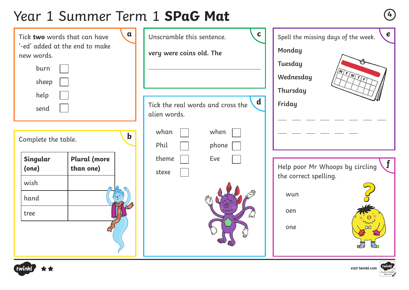# Year 1 Summer Term 1 **SPaG Mat <sup>4</sup>**

| $\mathbf a$<br>Tick two words that can have<br>'-ed' added at the end to make<br>new words.<br>burn<br>sheep<br>help<br>send |             | $\mathbf c$<br>Unscramble this sentence.<br>very were coins old. The<br>$\mathbf d$<br>Tick the real words and cross the<br>alien words. | $\boldsymbol{e}$<br>Spell the missing days of the week.<br>Monday<br>Tuesday<br>MITWIE<br>Wednesday<br>Thursday<br>Friday |
|------------------------------------------------------------------------------------------------------------------------------|-------------|------------------------------------------------------------------------------------------------------------------------------------------|---------------------------------------------------------------------------------------------------------------------------|
| Complete the table.<br>Singular<br>Plural (more<br>than one)<br>(one)<br>wish<br>- i -<br>hand<br>tree                       | $\mathbf b$ | whan<br>when<br>Phil<br>phone<br>theme<br>Eve<br>stexe                                                                                   | Help poor Mr Whoops by circling<br>the correct spelling.<br>wun<br>oen<br>one                                             |



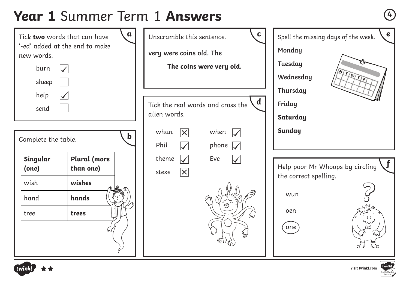# **Year 1** Summer Term 1 **Answers <sup>4</sup>**





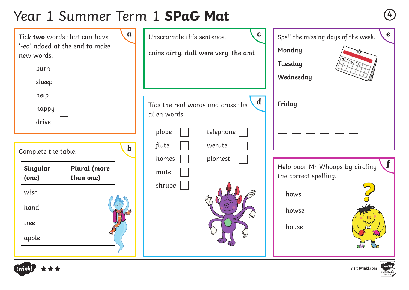# Year 1 Summer Term 1 **SPaG Mat <sup>4</sup>**

| $\mathbf a$<br>Tick two words that can have<br>'-ed' added at the end to make<br>new words.<br>burn<br>sheep<br>help<br>happy<br>drive | $\mathbf c$<br>Unscramble this sentence.<br>coins dirty. dull were very The and<br>$\mathbf d$<br>Tick the real words and cross the<br>alien words. | $\boldsymbol{e}$<br>Spell the missing days of the week.<br>Monday<br>Tuesday<br>Wednesday<br>Friday |
|----------------------------------------------------------------------------------------------------------------------------------------|-----------------------------------------------------------------------------------------------------------------------------------------------------|-----------------------------------------------------------------------------------------------------|
| $\mathbf b$                                                                                                                            | telephone<br>plobe<br>flute<br>werute                                                                                                               |                                                                                                     |
| Complete the table.                                                                                                                    | plomest<br>homes                                                                                                                                    |                                                                                                     |
| <b>Plural</b> (more<br>Singular<br>than one)<br>(one)                                                                                  | mute<br>shrupe                                                                                                                                      | Help poor Mr Whoops by circling<br>the correct spelling.                                            |
| wish                                                                                                                                   |                                                                                                                                                     | hows                                                                                                |
| hand                                                                                                                                   |                                                                                                                                                     | howse                                                                                               |
| tree                                                                                                                                   |                                                                                                                                                     | house                                                                                               |
| apple                                                                                                                                  |                                                                                                                                                     |                                                                                                     |